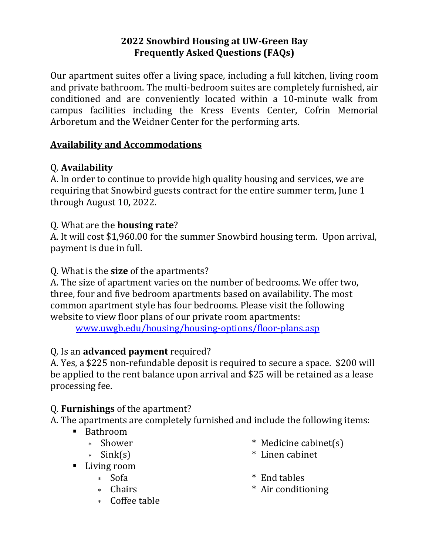### **2022 Snowbird Housing at UW-Green Bay Frequently Asked Questions (FAQs)**

Our apartment suites offer a living space, including a full kitchen, living room and private bathroom. The multi-bedroom suites are completely furnished, air conditioned and are conveniently located within a 10-minute walk from campus facilities including the Kress Events Center, Cofrin Memorial Arboretum and the Weidner Center for the performing arts.

### **Availability and Accommodations**

### Q. **Availability**

A. In order to continue to provide high quality housing and services, we are requiring that Snowbird guests contract for the entire summer term, June 1 through August 10, 2022.

#### Q. What are the **housing rate**?

A. It will cost \$1,960.00 for the summer Snowbird housing term. Upon arrival, payment is due in full.

#### Q. What is the **size** of the apartments?

A. The size of apartment varies on the number of bedrooms. We offer two, three, four and five bedroom apartments based on availability. The most common apartment style has four bedrooms. Please visit the following website to view floor plans of our private room apartments:

[www.uwgb.edu/housing/housing-options/floor-plans.asp](http://www.uwgb.edu/housing/housing-options/floor-plans.asp)

### Q. Is an **advanced payment** required?

A. Yes, a \$225 non-refundable deposit is required to secure a space. \$200 will be applied to the rent balance upon arrival and \$25 will be retained as a lease processing fee.

### Q. **Furnishings** of the apartment?

A. The apartments are completely furnished and include the following items:

- Bathroom
	-
	-
- Living room
	-
	-
	- Coffee table
- \* Shower \* Medicine cabinet(s)
- Sink(s) \* Linen cabinet
	- Sofa \* End tables
	- \* Chairs \* Air conditioning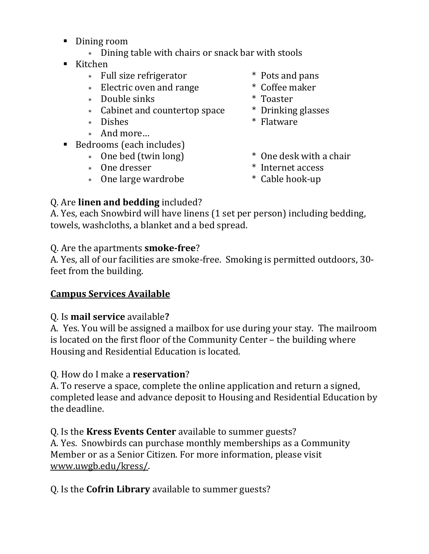- Dining room
	- Dining table with chairs or snack bar with stools
- $\blacksquare$  Kitchen
	- \* Full size refrigerator \* Pots and pans
	- \* Electric oven and range \* Coffee maker
	- Double sinks \* Toaster
	- Cabinet and countertop space \* Drinking glasses
	-
	- And more…
- Bedrooms (each includes)
	-
	-
	- \* One large wardrobe  $*$  Cable hook-up
- 
- 
- 
- 
- \* Dishes  $*$  Flatware
- \* One bed (twin long)  $*$  One desk with a chair
- \* One dresser  $*$  Internet access
	-

# Q. Are **linen and bedding** included?

A. Yes, each Snowbird will have linens (1 set per person) including bedding, towels, washcloths, a blanket and a bed spread.

## Q. Are the apartments **smoke-free**?

A. Yes, all of our facilities are smoke-free. Smoking is permitted outdoors, 30 feet from the building.

## **Campus Services Available**

## Q. Is **mail service** available**?**

A. Yes. You will be assigned a mailbox for use during your stay. The mailroom is located on the first floor of the Community Center – the building where Housing and Residential Education is located.

## Q. How do I make a **reservation**?

A. To reserve a space, complete the online application and return a signed, completed lease and advance deposit to Housing and Residential Education by the deadline.

Q. Is the **Kress Events Center** available to summer guests? A. Yes. Snowbirds can purchase monthly memberships as a Community Member or as a Senior Citizen. For more information, please visit [www.uwgb.edu/kress/.](http://www.uwgb.edu/kress/)

Q. Is the **Cofrin Library** available to summer guests?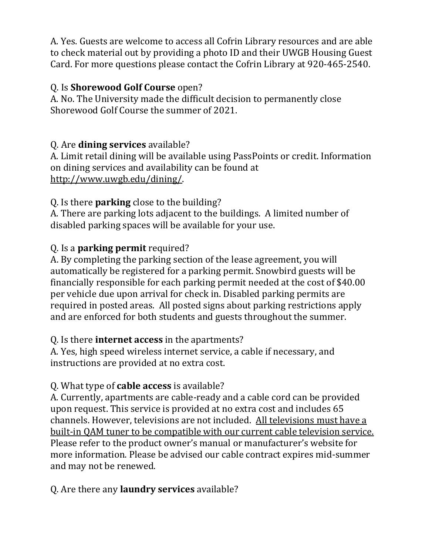A. Yes. Guests are welcome to access all Cofrin Library resources and are able to check material out by providing a photo ID and their UWGB Housing Guest Card. For more questions please contact the Cofrin Library at 920-465-2540.

### Q. Is **Shorewood Golf Course** open?

A. No. The University made the difficult decision to permanently close Shorewood Golf Course the summer of 2021.

### Q. Are **dining services** available?

A. Limit retail dining will be available using PassPoints or credit. Information on dining services and availability can be found at [http://www.uwgb.edu/dining/.](http://www.uwgb.edu/dining/)

Q. Is there **parking** close to the building?

A. There are parking lots adjacent to the buildings. A limited number of disabled parking spaces will be available for your use.

### Q. Is a **parking permit** required?

A. By completing the parking section of the lease agreement, you will automatically be registered for a parking permit. Snowbird guests will be financially responsible for each parking permit needed at the cost of \$40.00 per vehicle due upon arrival for check in. Disabled parking permits are required in posted areas. All posted signs about parking restrictions apply and are enforced for both students and guests throughout the summer.

### Q. Is there **internet access** in the apartments?

A. Yes, high speed wireless internet service, a cable if necessary, and instructions are provided at no extra cost.

### Q. What type of **cable access** is available?

A. Currently, apartments are cable-ready and a cable cord can be provided upon request. This service is provided at no extra cost and includes 65 channels. However, televisions are not included. All televisions must have a built-in QAM tuner to be compatible with our current cable television service. Please refer to the product owner's manual or manufacturer's website for more information. Please be advised our cable contract expires mid-summer and may not be renewed.

Q. Are there any **laundry services** available?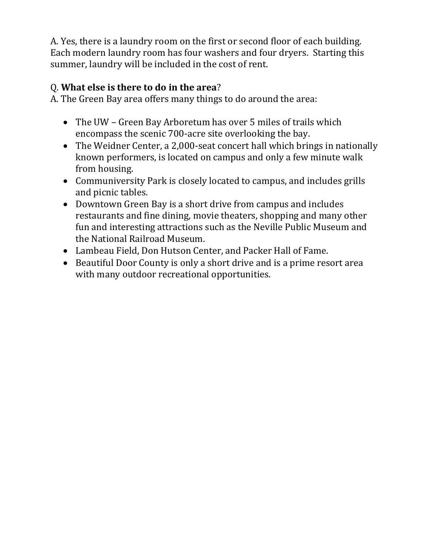A. Yes, there is a laundry room on the first or second floor of each building. Each modern laundry room has four washers and four dryers. Starting this summer, laundry will be included in the cost of rent.

### Q. **What else is there to do in the area**?

A. The Green Bay area offers many things to do around the area:

- The UW Green Bay Arboretum has over 5 miles of trails which encompass the scenic 700-acre site overlooking the bay.
- The Weidner Center, a 2,000-seat concert hall which brings in nationally known performers, is located on campus and only a few minute walk from housing.
- Communiversity Park is closely located to campus, and includes grills and picnic tables.
- Downtown Green Bay is a short drive from campus and includes restaurants and fine dining, movie theaters, shopping and many other fun and interesting attractions such as the Neville Public Museum and the National Railroad Museum.
- Lambeau Field, Don Hutson Center, and Packer Hall of Fame.
- Beautiful Door County is only a short drive and is a prime resort area with many outdoor recreational opportunities.